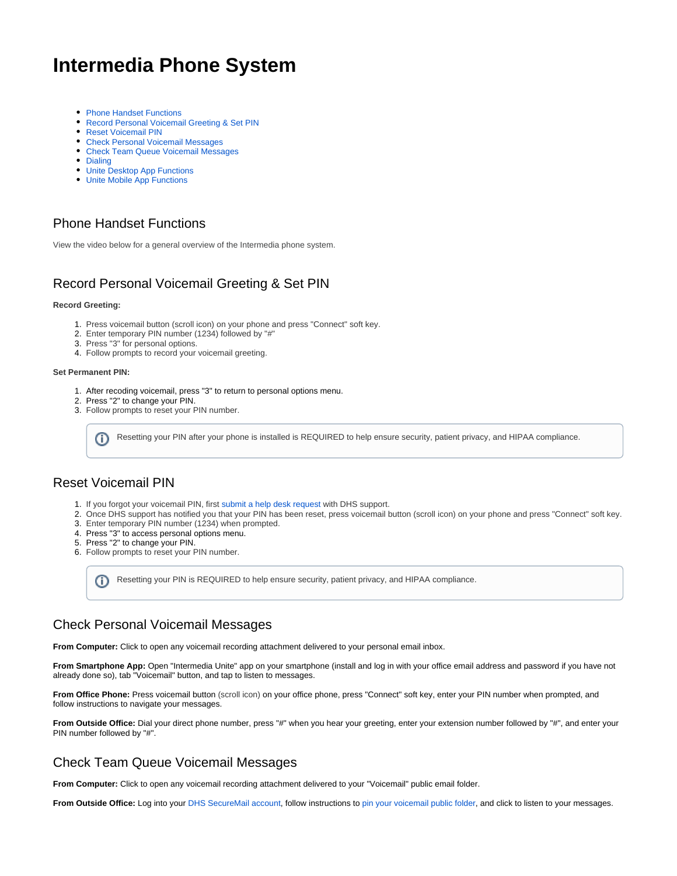# <span id="page-0-0"></span>**Intermedia Phone System**

- [Phone Handset Functions](#page-0-0)
- [Record Personal Voicemail Greeting & Set PIN](#page-0-1)
- [Reset Voicemail PIN](#page-0-2)
- [Check Personal Voicemail Messages](#page-0-3)
- [Check Team Queue Voicemail Messages](#page-0-4)
- [Dialing](#page-0-5)
- [Unite Desktop App Functions](#page-1-0)
- [Unite Mobile App Functions](#page-1-1)

# Phone Handset Functions

View the video below for a general overview of the Intermedia phone system.

# <span id="page-0-1"></span>Record Personal Voicemail Greeting & Set PIN

#### **Record Greeting:**

- 1. Press voicemail button (scroll icon) on your phone and press "Connect" soft key.
- 2. Enter temporary PIN number (1234) followed by "#"
- 3. Press "3" for personal options.
- 4. Follow prompts to record your voicemail greeting.

#### **Set Permanent PIN:**

- 1. After recoding voicemail, press "3" to return to personal options menu.
- 2. Press "2" to change your PIN.
- 3. Follow prompts to reset your PIN number.

Resetting your PIN after your phone is installed is REQUIRED to help ensure security, patient privacy, and HIPAA compliance. (i)

#### <span id="page-0-2"></span>Reset Voicemail PIN

- 1. If you forgot your voicemail PIN, first [submit a help desk request](https://wiki.dhsforyou.com/display/DCR/Contacting+Support) with DHS support.
- 2. Once DHS support has notified you that your PIN has been reset, press voicemail button (scroll icon) on your phone and press "Connect" soft key.
- 3. Enter temporary PIN number (1234) when prompted.
- 4. Press "3" to access personal options menu.
- 5. Press "2" to change your PIN.
- 6. Follow prompts to reset your PIN number.

Resetting your PIN is REQUIRED to help ensure security, patient privacy, and HIPAA compliance. (i)

### <span id="page-0-3"></span>Check Personal Voicemail Messages

**From Computer:** Click to open any voicemail recording attachment delivered to your personal email inbox.

**From Smartphone App:** Open "Intermedia Unite" app on your smartphone (install and log in with your office email address and password if you have not already done so), tab "Voicemail" button, and tap to listen to messages.

**From Office Phone:** Press voicemail button (scroll icon) on your office phone, press "Connect" soft key, enter your PIN number when prompted, and follow instructions to navigate your messages.

**From Outside Office:** Dial your direct phone number, press "#" when you hear your greeting, enter your extension number followed by "#", and enter your PIN number followed by "#".

### <span id="page-0-4"></span>Check Team Queue Voicemail Messages

**From Computer:** Click to open any voicemail recording attachment delivered to your "Voicemail" public email folder.

<span id="page-0-5"></span>From Outside Office: Log into your [DHS SecureMail account,](https://webmail.dhsforyou.com/owa/auth/logon.aspx?replaceCurrent=1&url=https%3a%2f%2fwebmail.dhsforyou.com%2fowa%2f) follow instructions to [pin your voicemail public folder](https://wiki.dhsforyou.com/display/DCR/Add+a+Public+Folder+for+Quick+Access#AddaPublicFolderforQuickAccess-OutlookWebAccess(OWA)), and click to listen to your messages.